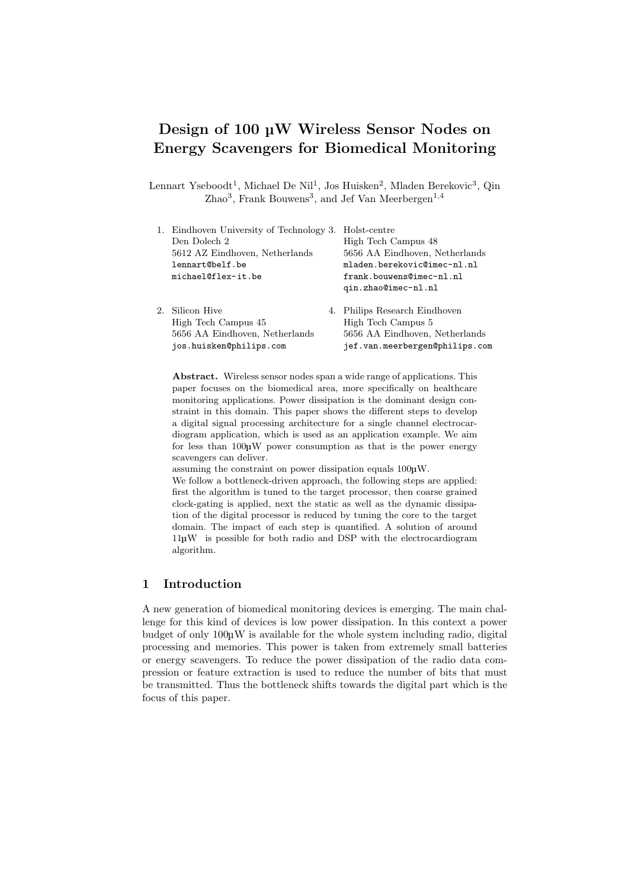# Design of 100 µW Wireless Sensor Nodes on Energy Scavengers for Biomedical Monitoring

Lennart Yseboodt<sup>1</sup>, Michael De Nil<sup>1</sup>, Jos Huisken<sup>2</sup>, Mladen Berekovic<sup>3</sup>, Qin  $Zhao<sup>3</sup>$ , Frank Bouwens<sup>3</sup>, and Jef Van Meerbergen<sup>1,4</sup>

| 1. Eindhoven University of Technology 3.<br>Den Dolech 2<br>5612 AZ Eindhoven, Netherlands<br>lennart@belf.be<br>michael@flex-it.be | Holst-centre<br>High Tech Campus 48<br>5656 AA Eindhoven, Netherlands<br>mladen.berekovic@imec-nl.nl<br>frank.bouwens@imec-nl.nl<br>qin.zhao@imec-nl.nl |
|-------------------------------------------------------------------------------------------------------------------------------------|---------------------------------------------------------------------------------------------------------------------------------------------------------|
| 2. Silicon Hive<br>High Tech Campus 45<br>5656 AA Eindhoven, Netherlands<br>jos.huisken@philips.com                                 | 4. Philips Research Eindhoven<br>High Tech Campus 5<br>5656 AA Eindhoven, Netherlands<br>jef.van.meerbergen@philips.com                                 |

Abstract. Wireless sensor nodes span a wide range of applications. This paper focuses on the biomedical area, more specifically on healthcare monitoring applications. Power dissipation is the dominant design constraint in this domain. This paper shows the different steps to develop a digital signal processing architecture for a single channel electrocardiogram application, which is used as an application example. We aim for less than 100µW power consumption as that is the power energy scavengers can deliver.

assuming the constraint on power dissipation equals 100µW.

We follow a bottleneck-driven approach, the following steps are applied: first the algorithm is tuned to the target processor, then coarse grained clock-gating is applied, next the static as well as the dynamic dissipation of the digital processor is reduced by tuning the core to the target domain. The impact of each step is quantified. A solution of around 11µW is possible for both radio and DSP with the electrocardiogram algorithm.

## 1 Introduction

A new generation of biomedical monitoring devices is emerging. The main challenge for this kind of devices is low power dissipation. In this context a power budget of only 100µW is available for the whole system including radio, digital processing and memories. This power is taken from extremely small batteries or energy scavengers. To reduce the power dissipation of the radio data compression or feature extraction is used to reduce the number of bits that must be transmitted. Thus the bottleneck shifts towards the digital part which is the focus of this paper.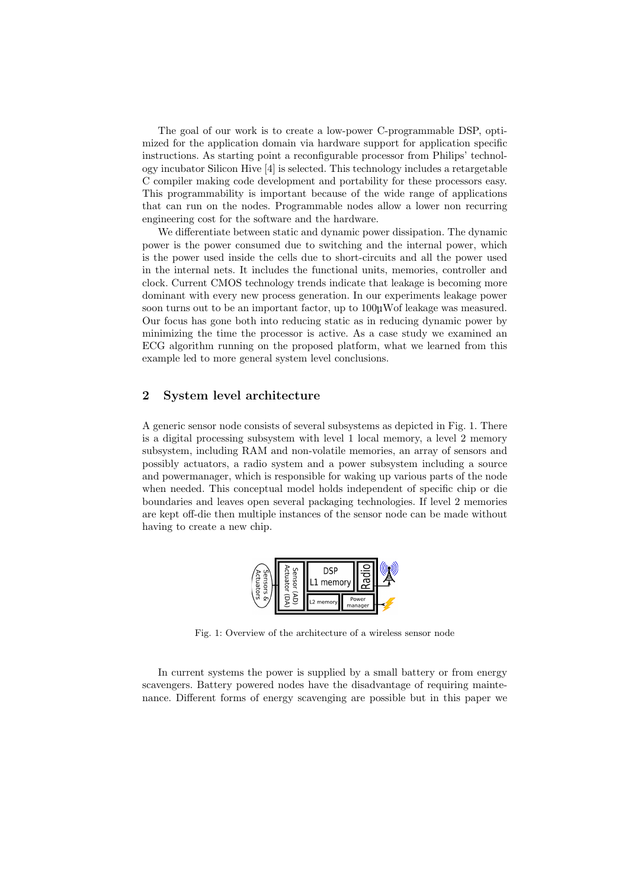The goal of our work is to create a low-power C-programmable DSP, optimized for the application domain via hardware support for application specific instructions. As starting point a reconfigurable processor from Philips' technology incubator Silicon Hive [4] is selected. This technology includes a retargetable C compiler making code development and portability for these processors easy. This programmability is important because of the wide range of applications that can run on the nodes. Programmable nodes allow a lower non recurring engineering cost for the software and the hardware.

We differentiate between static and dynamic power dissipation. The dynamic power is the power consumed due to switching and the internal power, which is the power used inside the cells due to short-circuits and all the power used in the internal nets. It includes the functional units, memories, controller and clock. Current CMOS technology trends indicate that leakage is becoming more dominant with every new process generation. In our experiments leakage power soon turns out to be an important factor, up to 100µWof leakage was measured. Our focus has gone both into reducing static as in reducing dynamic power by minimizing the time the processor is active. As a case study we examined an ECG algorithm running on the proposed platform, what we learned from this example led to more general system level conclusions.

#### 2 System level architecture

A generic sensor node consists of several subsystems as depicted in Fig. 1. There is a digital processing subsystem with level 1 local memory, a level 2 memory subsystem, including RAM and non-volatile memories, an array of sensors and possibly actuators, a radio system and a power subsystem including a source and powermanager, which is responsible for waking up various parts of the node when needed. This conceptual model holds independent of specific chip or die boundaries and leaves open several packaging technologies. If level 2 memories are kept off-die then multiple instances of the sensor node can be made without having to create a new chip.



Fig. 1: Overview of the architecture of a wireless sensor node

In current systems the power is supplied by a small battery or from energy scavengers. Battery powered nodes have the disadvantage of requiring maintenance. Different forms of energy scavenging are possible but in this paper we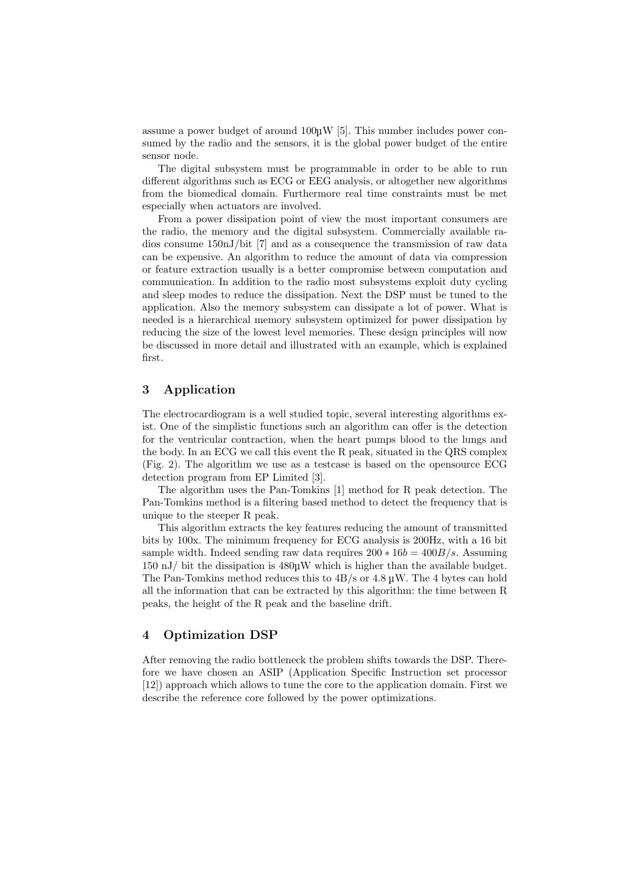assume a power budget of around  $100\mu$ W [5]. This number includes power consumed by the radio and the sensors, it is the global power budget of the entire sensor node.

The digital subsystem must be programmable in order to be able to run different algorithms such as ECG or EEG analysis, or altogether new algorithms from the biomedical domain. Furthermore real time constraints must be met especially when actuators are involved.

From a power dissipation point of view the most important consumers are the radio, the memory and the digital subsystem. Commercially available radios consume 150nJ/bit [7] and as a consequence the transmission of raw data can be expensive. An algorithm to reduce the amount of data via compression or feature extraction usually is a better compromise between computation and communication. In addition to the radio most subsystems exploit duty cycling and sleep modes to reduce the dissipation. Next the DSP must be tuned to the application. Also the memory subsystem can dissipate a lot of power. What is needed is a hierarchical memory subsystem optimized for power dissipation by reducing the size of the lowest level memories. These design principles will now be discussed in more detail and illustrated with an example, which is explained first.

## 3 Application

The electrocardiogram is a well studied topic, several interesting algorithms exist. One of the simplistic functions such an algorithm can offer is the detection for the ventricular contraction, when the heart pumps blood to the lungs and the body. In an ECG we call this event the R peak, situated in the QRS complex (Fig. 2). The algorithm we use as a testcase is based on the opensource ECG detection program from EP Limited [3].

The algorithm uses the Pan-Tomkins [1] method for R peak detection. The Pan-Tomkins method is a filtering based method to detect the frequency that is unique to the steeper R peak.

This algorithm extracts the key features reducing the amount of transmitted bits by 100x. The minimum frequency for ECG analysis is 200Hz, with a 16 bit sample width. Indeed sending raw data requires  $200 * 16b = 400B/s$ . Assuming 150 nJ/ bit the dissipation is 480µW which is higher than the available budget. The Pan-Tomkins method reduces this to 4B/s or 4.8 µW. The 4 bytes can hold all the information that can be extracted by this algorithm: the time between R peaks, the height of the R peak and the baseline drift.

## 4 Optimization DSP

After removing the radio bottleneck the problem shifts towards the DSP. Therefore we have chosen an ASIP (Application Specific Instruction set processor [12]) approach which allows to tune the core to the application domain. First we describe the reference core followed by the power optimizations.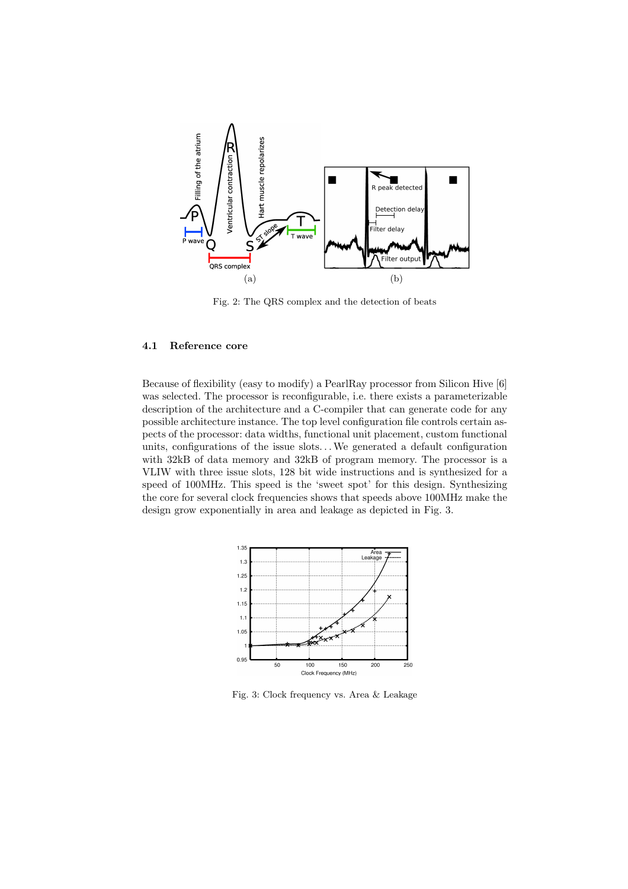

Fig. 2: The QRS complex and the detection of beats

#### 4.1 Reference core

Because of flexibility (easy to modify) a PearlRay processor from Silicon Hive [6] was selected. The processor is reconfigurable, i.e. there exists a parameterizable description of the architecture and a C-compiler that can generate code for any possible architecture instance. The top level configuration file controls certain aspects of the processor: data widths, functional unit placement, custom functional units, configurations of the issue slots. . .We generated a default configuration with 32kB of data memory and 32kB of program memory. The processor is a VLIW with three issue slots, 128 bit wide instructions and is synthesized for a speed of 100MHz. This speed is the 'sweet spot' for this design. Synthesizing the core for several clock frequencies shows that speeds above 100MHz make the design grow exponentially in area and leakage as depicted in Fig. 3.



Fig. 3: Clock frequency vs. Area & Leakage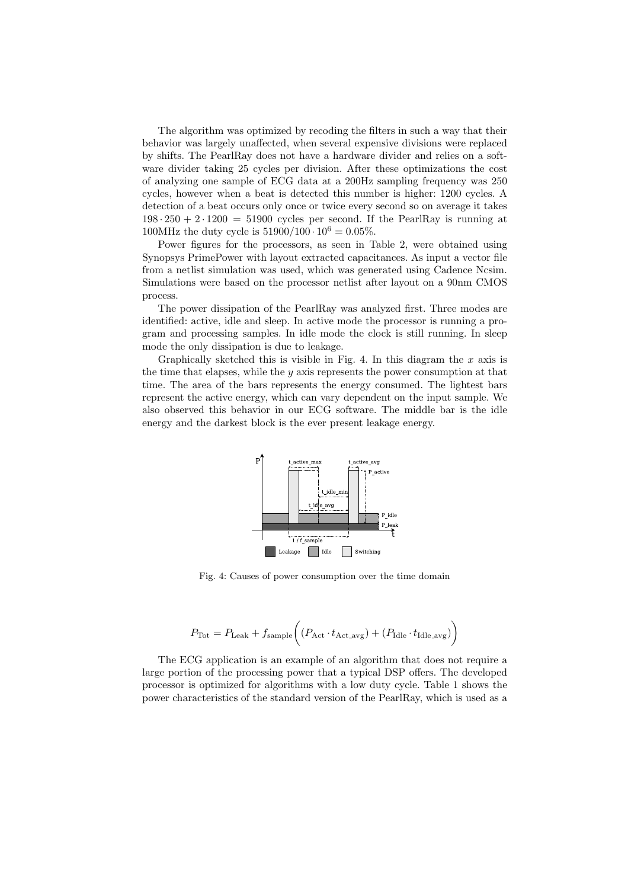The algorithm was optimized by recoding the filters in such a way that their behavior was largely unaffected, when several expensive divisions were replaced by shifts. The PearlRay does not have a hardware divider and relies on a software divider taking 25 cycles per division. After these optimizations the cost of analyzing one sample of ECG data at a 200Hz sampling frequency was 250 cycles, however when a beat is detected this number is higher: 1200 cycles. A detection of a beat occurs only once or twice every second so on average it takes  $198 \cdot 250 + 2 \cdot 1200 = 51900$  cycles per second. If the PearlRay is running at 100MHz the duty cycle is  $51900/100 \cdot 10^6 = 0.05\%$ .

Power figures for the processors, as seen in Table 2, were obtained using Synopsys PrimePower with layout extracted capacitances. As input a vector file from a netlist simulation was used, which was generated using Cadence Ncsim. Simulations were based on the processor netlist after layout on a 90nm CMOS process.

The power dissipation of the PearlRay was analyzed first. Three modes are identified: active, idle and sleep. In active mode the processor is running a program and processing samples. In idle mode the clock is still running. In sleep mode the only dissipation is due to leakage.

Graphically sketched this is visible in Fig. 4. In this diagram the  $x$  axis is the time that elapses, while the  $y$  axis represents the power consumption at that time. The area of the bars represents the energy consumed. The lightest bars represent the active energy, which can vary dependent on the input sample. We also observed this behavior in our ECG software. The middle bar is the idle energy and the darkest block is the ever present leakage energy.



Fig. 4: Causes of power consumption over the time domain

$$
P_{\text{Tot}} = P_{\text{Leak}} + f_{\text{sample}} \bigg( (P_{\text{Act}} \cdot t_{\text{Act} \text{-avg}}) + (P_{\text{idle}} \cdot t_{\text{idle} \text{-avg}}) \bigg)
$$

The ECG application is an example of an algorithm that does not require a large portion of the processing power that a typical DSP offers. The developed processor is optimized for algorithms with a low duty cycle. Table 1 shows the power characteristics of the standard version of the PearlRay, which is used as a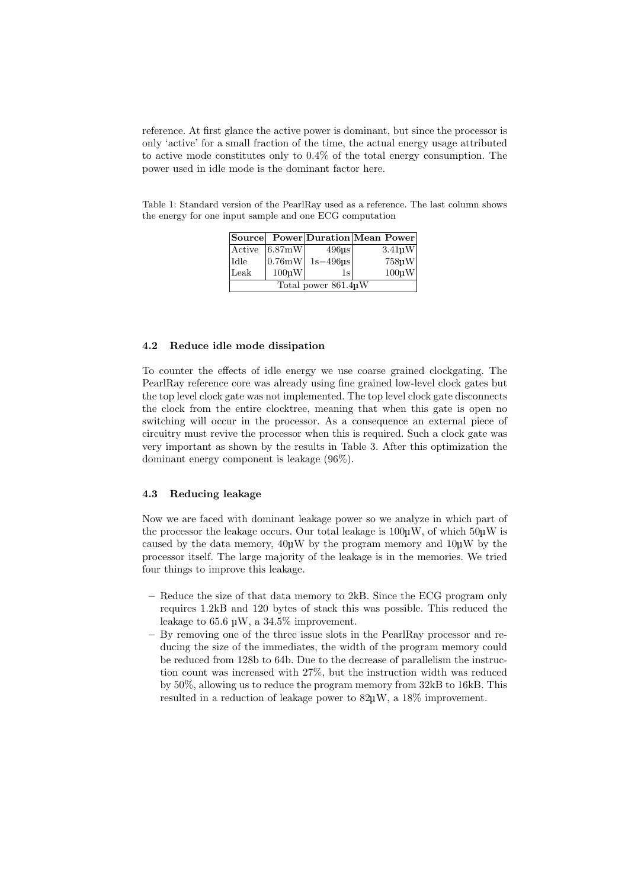reference. At first glance the active power is dominant, but since the processor is only 'active' for a small fraction of the time, the actual energy usage attributed to active mode constitutes only to 0.4% of the total energy consumption. The power used in idle mode is the dominant factor here.

Table 1: Standard version of the PearlRay used as a reference. The last column shows the energy for one input sample and one ECG computation

|                        |                       |                   | Source Power Duration Mean Power |  |  |  |
|------------------------|-----------------------|-------------------|----------------------------------|--|--|--|
|                        | $ $ Active $ $ 6.87mW | 496 <sub>us</sub> | $3.41\,\mathrm{uW}$              |  |  |  |
| Idle                   | $0.76$ mW             | $1s-496us$        | 758uW                            |  |  |  |
| Leak                   | $100\mu W$            | 1s                | $100\mu W$                       |  |  |  |
| Total power $861.4$ uW |                       |                   |                                  |  |  |  |

#### 4.2 Reduce idle mode dissipation

To counter the effects of idle energy we use coarse grained clockgating. The PearlRay reference core was already using fine grained low-level clock gates but the top level clock gate was not implemented. The top level clock gate disconnects the clock from the entire clocktree, meaning that when this gate is open no switching will occur in the processor. As a consequence an external piece of circuitry must revive the processor when this is required. Such a clock gate was very important as shown by the results in Table 3. After this optimization the dominant energy component is leakage (96%).

#### 4.3 Reducing leakage

Now we are faced with dominant leakage power so we analyze in which part of the processor the leakage occurs. Our total leakage is  $100\mu$ W, of which  $50\mu$ W is caused by the data memory,  $40\mu W$  by the program memory and  $10\mu W$  by the processor itself. The large majority of the leakage is in the memories. We tried four things to improve this leakage.

- Reduce the size of that data memory to 2kB. Since the ECG program only requires 1.2kB and 120 bytes of stack this was possible. This reduced the leakage to  $65.6 \mu W$ , a  $34.5\%$  improvement.
- By removing one of the three issue slots in the PearlRay processor and reducing the size of the immediates, the width of the program memory could be reduced from 128b to 64b. Due to the decrease of parallelism the instruction count was increased with 27%, but the instruction width was reduced by 50%, allowing us to reduce the program memory from 32kB to 16kB. This resulted in a reduction of leakage power to 82µW, a 18% improvement.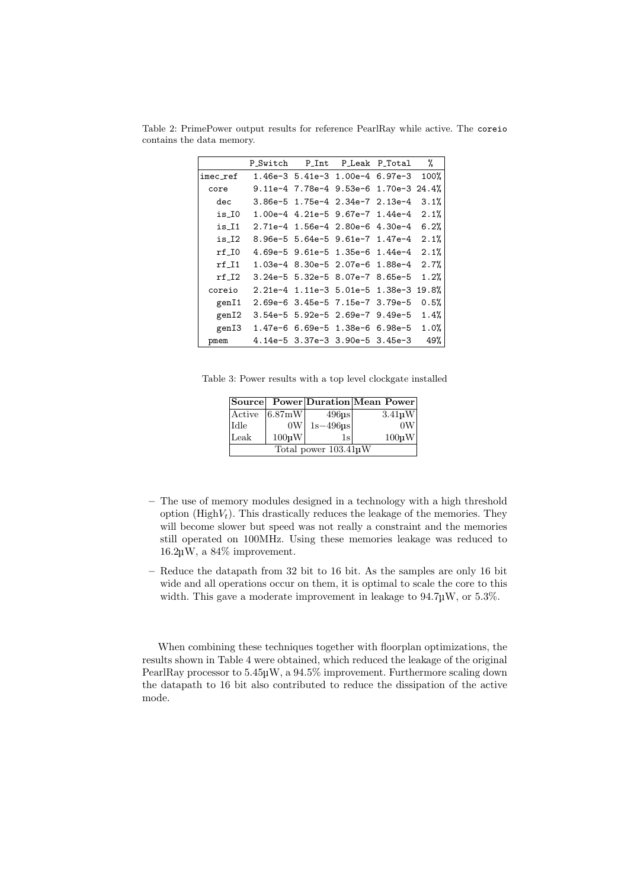Table 2: PrimePower output results for reference PearlRay while active. The coreio contains the data memory.

|                   | P_Switch | $P_$ Int                              | P Leak P Total | %    |
|-------------------|----------|---------------------------------------|----------------|------|
| imec ref          |          | 1.46e-3 5.41e-3 1.00e-4 6.97e-3       |                | 100% |
| core              |          | 9.11e-4 7.78e-4 9.53e-6 1.70e-3 24.4% |                |      |
| dec               |          | 3.86e-5 1.75e-4 2.34e-7 2.13e-4       |                | 3.1% |
| is_I0             |          | 1.00e-4 4.21e-5 9.67e-7 1.44e-4       |                | 2.1% |
| is_I1             |          | 2.71e-4 1.56e-4 2.80e-6 4.30e-4       |                | 6.2% |
| is_I2             |          | 8.96e-5 5.64e-5 9.61e-7 1.47e-4       |                | 2.1% |
| rf I0             |          | 4.69e-5 9.61e-5 1.35e-6 1.44e-4       |                | 2.1% |
| rf I1             |          | 1.03e-4 8.30e-5 2.07e-6 1.88e-4       |                | 2.7% |
| $rf_12$           |          | 3.24e-5 5.32e-5 8.07e-7 8.65e-5       |                | 1.2% |
| coreio            |          | 2.21e-4 1.11e-3 5.01e-5 1.38e-3 19.8% |                |      |
| genI1             |          | 2.69e-6 3.45e-5 7.15e-7 3.79e-5       |                | 0.5% |
| gen <sub>I2</sub> |          | $3.54e-5$ 5.92e-5 2.69e-7 9.49e-5     |                | 1.4% |
| gen <sub>I3</sub> |          | 1.47e-6 6.69e-5 1.38e-6 6.98e-5       |                | 1.0% |
| pmem              |          | 4.14e-5 3.37e-3 3.90e-5 3.45e-3       |                | 49%  |

Table 3: Power results with a top level clockgate installed

|                                        |               |                    | Source Power Duration Mean Power |  |  |  |
|----------------------------------------|---------------|--------------------|----------------------------------|--|--|--|
|                                        | Active 6.87mW | $496\,\mathrm{us}$ | 3.41uW                           |  |  |  |
| Idle                                   | 0W            | $1s-496\,\mu s$    | 0W                               |  |  |  |
| Leak                                   | $100\mu W$    | 1s                 | $100\mu W$                       |  |  |  |
| Total power $103.41\,\mathrm{\upmu W}$ |               |                    |                                  |  |  |  |

- The use of memory modules designed in a technology with a high threshold option ( $\text{High}V_t$ ). This drastically reduces the leakage of the memories. They will become slower but speed was not really a constraint and the memories still operated on 100MHz. Using these memories leakage was reduced to 16.2µW, a 84% improvement.
- Reduce the datapath from 32 bit to 16 bit. As the samples are only 16 bit wide and all operations occur on them, it is optimal to scale the core to this width. This gave a moderate improvement in leakage to  $94.7\mu$ W, or  $5.3\%$ .

When combining these techniques together with floorplan optimizations, the results shown in Table 4 were obtained, which reduced the leakage of the original PearlRay processor to 5.45µW, a 94.5% improvement. Furthermore scaling down the datapath to 16 bit also contributed to reduce the dissipation of the active mode.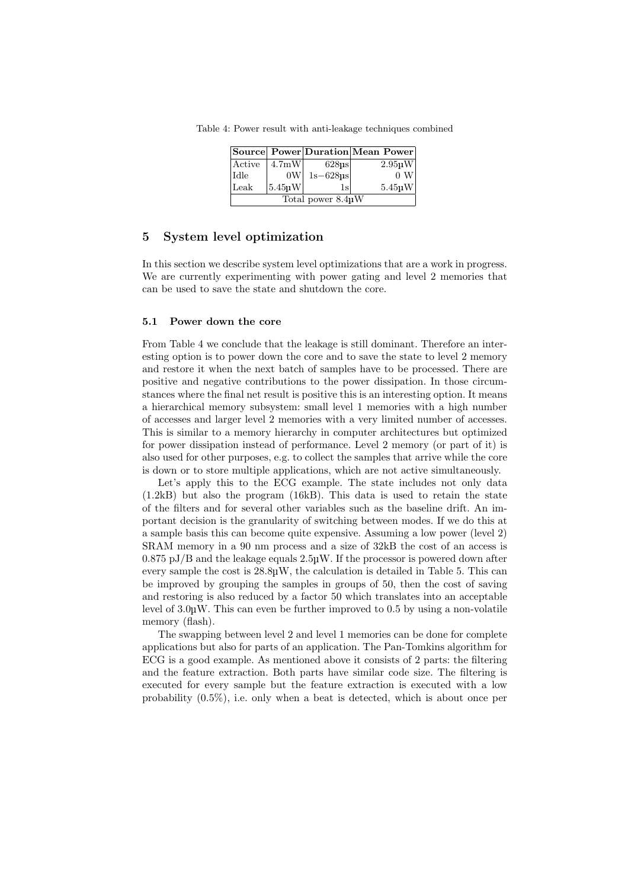Table 4: Power result with anti-leakage techniques combined

|                   |                  |                     | Source Power Duration Mean Power |  |  |  |
|-------------------|------------------|---------------------|----------------------------------|--|--|--|
| Active            | 4.7mW            | $628 \text{µs}$     | $2.95\mu W$                      |  |  |  |
| <b>Idle</b>       | 0W               | $1s-628\,\text{us}$ |                                  |  |  |  |
| Leak              | $5.45 \text{uW}$ | lsl                 | $5.45\mu W$                      |  |  |  |
| Total power 8.4uW |                  |                     |                                  |  |  |  |

## 5 System level optimization

In this section we describe system level optimizations that are a work in progress. We are currently experimenting with power gating and level 2 memories that can be used to save the state and shutdown the core.

#### 5.1 Power down the core

From Table 4 we conclude that the leakage is still dominant. Therefore an interesting option is to power down the core and to save the state to level 2 memory and restore it when the next batch of samples have to be processed. There are positive and negative contributions to the power dissipation. In those circumstances where the final net result is positive this is an interesting option. It means a hierarchical memory subsystem: small level 1 memories with a high number of accesses and larger level 2 memories with a very limited number of accesses. This is similar to a memory hierarchy in computer architectures but optimized for power dissipation instead of performance. Level 2 memory (or part of it) is also used for other purposes, e.g. to collect the samples that arrive while the core is down or to store multiple applications, which are not active simultaneously.

Let's apply this to the ECG example. The state includes not only data (1.2kB) but also the program (16kB). This data is used to retain the state of the filters and for several other variables such as the baseline drift. An important decision is the granularity of switching between modes. If we do this at a sample basis this can become quite expensive. Assuming a low power (level 2) SRAM memory in a 90 nm process and a size of 32kB the cost of an access is  $0.875 \text{ pJ/B}$  and the leakage equals  $2.5 \mu W$ . If the processor is powered down after every sample the cost is 28.8µW, the calculation is detailed in Table 5. This can be improved by grouping the samples in groups of 50, then the cost of saving and restoring is also reduced by a factor 50 which translates into an acceptable level of 3.0µW. This can even be further improved to 0.5 by using a non-volatile memory (flash).

The swapping between level 2 and level 1 memories can be done for complete applications but also for parts of an application. The Pan-Tomkins algorithm for ECG is a good example. As mentioned above it consists of 2 parts: the filtering and the feature extraction. Both parts have similar code size. The filtering is executed for every sample but the feature extraction is executed with a low probability (0.5%), i.e. only when a beat is detected, which is about once per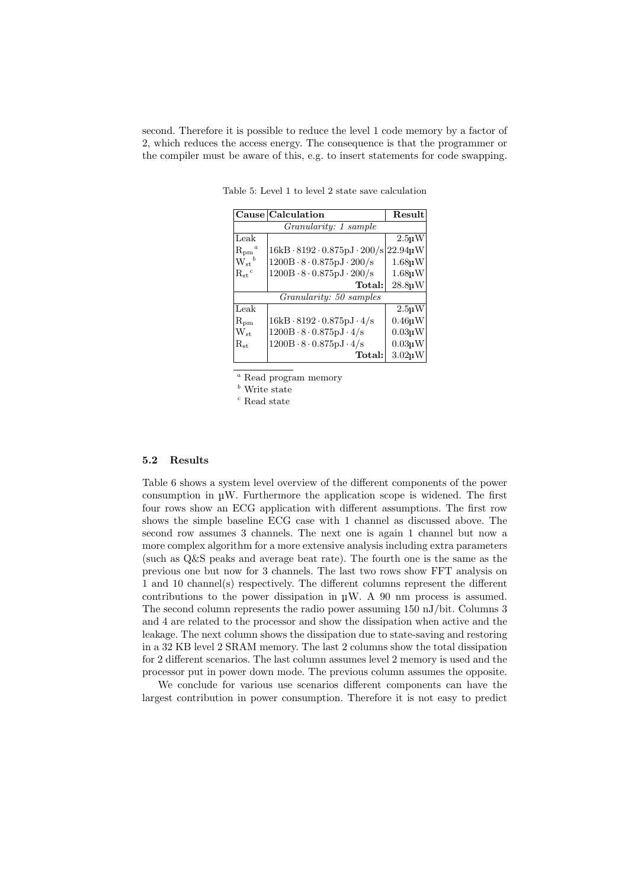second. Therefore it is possible to reduce the level 1 code memory by a factor of 2, which reduces the access energy. The consequence is that the programmer or the compiler must be aware of this, e.g. to insert statements for code swapping.

Table 5: Level 1 to level 2 state save calculation

| Cause Calculation                | Result                                      |                     |  |  |  |  |  |
|----------------------------------|---------------------------------------------|---------------------|--|--|--|--|--|
|                                  | Granularity: 1 sample                       |                     |  |  |  |  |  |
| Leak                             |                                             | $2.5\mu W$          |  |  |  |  |  |
| $R_{pm}^{\phantom{pm}a}$         | $16kB \cdot 8192 \cdot 0.875pJ \cdot 200/s$ | 22.94uW             |  |  |  |  |  |
| $\mathrm{W}_{\mathrm{st}}{}^{b}$ | $1200B \cdot 8 \cdot 0.875pJ \cdot 200/s$   | $1.68\mu W$         |  |  |  |  |  |
| $\mathrm{R_{st}}^c$              | $1200B \cdot 8 \cdot 0.875pJ \cdot 200/s$   | 1.68 <sub>u</sub> W |  |  |  |  |  |
|                                  | Total:                                      | $28.8\mu W$         |  |  |  |  |  |
|                                  | Granularity: 50 samples                     |                     |  |  |  |  |  |
| Leak                             |                                             | $2.5\mu W$          |  |  |  |  |  |
| $\rm R_{\rm pm}$                 | $16kB \cdot 8192 \cdot 0.875pJ \cdot 4/s$   | 0.46uW              |  |  |  |  |  |
| $\rm W_{st}$                     | $1200B \cdot 8 \cdot 0.875pJ \cdot 4/s$     | $0.03\mu W$         |  |  |  |  |  |
| $\rm R_{st}$                     | $1200B \cdot 8 \cdot 0.875pJ \cdot 4/s$     | $0.03\mu W$         |  |  |  |  |  |
|                                  | Total:                                      | $3.02\mu W$         |  |  |  |  |  |

<sup>a</sup> Read program memory

 $\frac{b}{b}$  Write state

 $^c$  Read state

#### 5.2 Results

Table 6 shows a system level overview of the different components of the power consumption in µW. Furthermore the application scope is widened. The first four rows show an ECG application with different assumptions. The first row shows the simple baseline ECG case with 1 channel as discussed above. The second row assumes 3 channels. The next one is again 1 channel but now a more complex algorithm for a more extensive analysis including extra parameters (such as Q&S peaks and average beat rate). The fourth one is the same as the previous one but now for 3 channels. The last two rows show FFT analysis on 1 and 10 channel(s) respectively. The different columns represent the different contributions to the power dissipation in  $\mu$ W. A 90 nm process is assumed. The second column represents the radio power assuming 150 nJ/bit. Columns 3 and 4 are related to the processor and show the dissipation when active and the leakage. The next column shows the dissipation due to state-saving and restoring in a 32 KB level 2 SRAM memory. The last 2 columns show the total dissipation for 2 different scenarios. The last column assumes level 2 memory is used and the processor put in power down mode. The previous column assumes the opposite.

We conclude for various use scenarios different components can have the largest contribution in power consumption. Therefore it is not easy to predict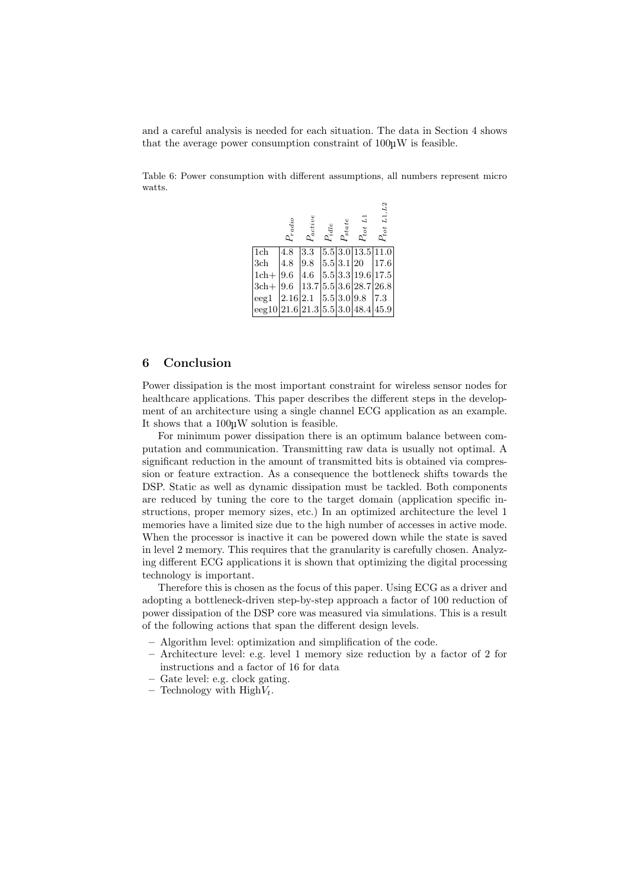and a careful analysis is needed for each situation. The data in Section 4 shows that the average power consumption constraint of 100µW is feasible.

Table 6: Power consumption with different assumptions, all numbers represent micro watts.

|                                                                                                                      | $P_{radio}$                               | $\boldsymbol{P}_{active}$ | $P_{idle}$  | state      | L1<br>$P_{tot}$   | $L1, L2$<br>$P_{tot}$ |
|----------------------------------------------------------------------------------------------------------------------|-------------------------------------------|---------------------------|-------------|------------|-------------------|-----------------------|
| 1ch                                                                                                                  | 4.8                                       | 3.3                       |             |            | 5.5 3.0 13.5 11.0 |                       |
| 3ch                                                                                                                  | 4.8                                       | 9.8                       |             | 5.5 3.1 20 |                   | 17.6                  |
| $1ch+$                                                                                                               | 9.6                                       | $4.6\,$                   |             |            | 5.5 3.3 19.6 17.5 |                       |
| $ 3ch+$                                                                                                              | $ 9.6 \t  13.7   5.5   3.6   28.7   26.8$ |                           |             |            |                   |                       |
| eeg1                                                                                                                 | 2.16 2.1                                  |                           | 5.5 3.0 9.8 |            |                   | 7.3                   |
| $\begin{array}{ c c c c c c c c } \hline \text{eeg10} & 21.6 & 21.3 & 5.5 & 3.0 & 48.4 & 45.9 \\ \hline \end{array}$ |                                           |                           |             |            |                   |                       |

## 6 Conclusion

Power dissipation is the most important constraint for wireless sensor nodes for healthcare applications. This paper describes the different steps in the development of an architecture using a single channel ECG application as an example. It shows that a 100µW solution is feasible.

For minimum power dissipation there is an optimum balance between computation and communication. Transmitting raw data is usually not optimal. A significant reduction in the amount of transmitted bits is obtained via compression or feature extraction. As a consequence the bottleneck shifts towards the DSP. Static as well as dynamic dissipation must be tackled. Both components are reduced by tuning the core to the target domain (application specific instructions, proper memory sizes, etc.) In an optimized architecture the level 1 memories have a limited size due to the high number of accesses in active mode. When the processor is inactive it can be powered down while the state is saved in level 2 memory. This requires that the granularity is carefully chosen. Analyzing different ECG applications it is shown that optimizing the digital processing technology is important.

Therefore this is chosen as the focus of this paper. Using ECG as a driver and adopting a bottleneck-driven step-by-step approach a factor of 100 reduction of power dissipation of the DSP core was measured via simulations. This is a result of the following actions that span the different design levels.

- Algorithm level: optimization and simplification of the code.
- Architecture level: e.g. level 1 memory size reduction by a factor of 2 for instructions and a factor of 16 for data
- Gate level: e.g. clock gating.
- Technology with  $\text{High}V_t$ .